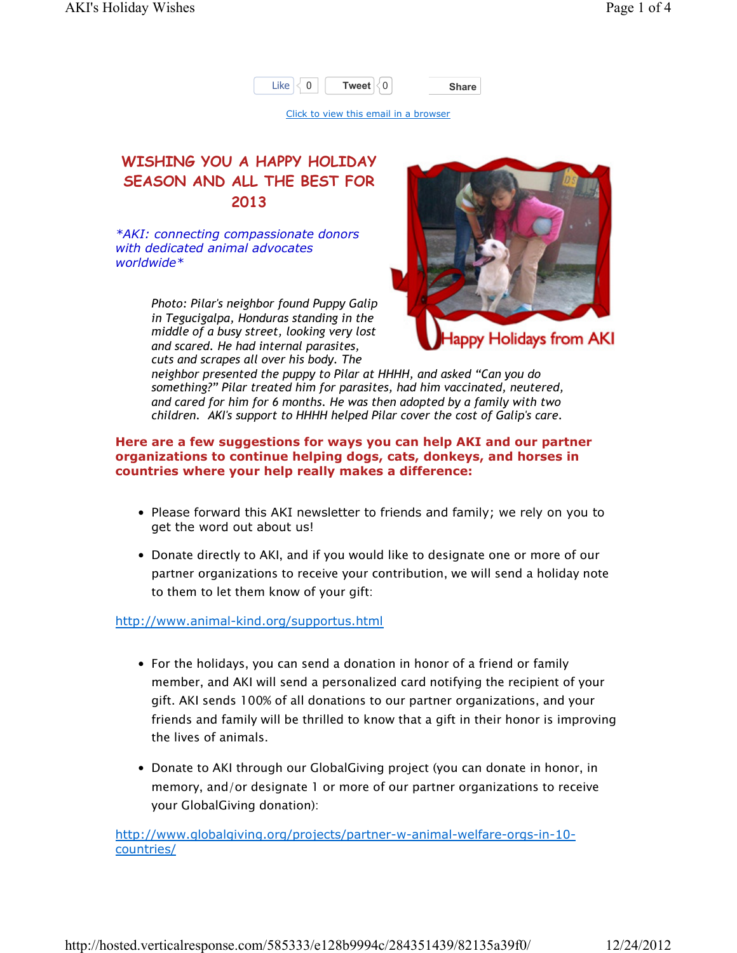

Click to view this email in a browser

## WISHING YOU A HAPPY HOLIDAY SEASON AND ALL THE BEST FOR 2013

\*AKI: connecting compassionate donors with dedicated animal advocates worldwide\*

> Photo: Pilar's neighbor found Puppy Galip in Tegucigalpa, Honduras standing in the middle of a busy street, looking very lost and scared. He had internal parasites, cuts and scrapes all over his body. The



neighbor presented the puppy to Pilar at HHHH, and asked "Can you do something?" Pilar treated him for parasites, had him vaccinated, neutered, and cared for him for 6 months. He was then adopted by a family with two children. AKI's support to HHHH helped Pilar cover the cost of Galip's care.

## Here are a few suggestions for ways you can help AKI and our partner organizations to continue helping dogs, cats, donkeys, and horses in countries where your help really makes a difference:

- Please forward this AKI newsletter to friends and family; we rely on you to get the word out about us!
- Donate directly to AKI, and if you would like to designate one or more of our partner organizations to receive your contribution, we will send a holiday note to them to let them know of your gift:

http://www.animal-kind.org/supportus.html

- For the holidays, you can send a donation in honor of a friend or family member, and AKI will send a personalized card notifying the recipient of your gift. AKI sends 100% of all donations to our partner organizations, and your friends and family will be thrilled to know that a gift in their honor is improving the lives of animals.
- Donate to AKI through our GlobalGiving project (you can donate in honor, in memory, and/or designate 1 or more of our partner organizations to receive your GlobalGiving donation):

http://www.globalgiving.org/projects/partner-w-animal-welfare-orgs-in-10 countries/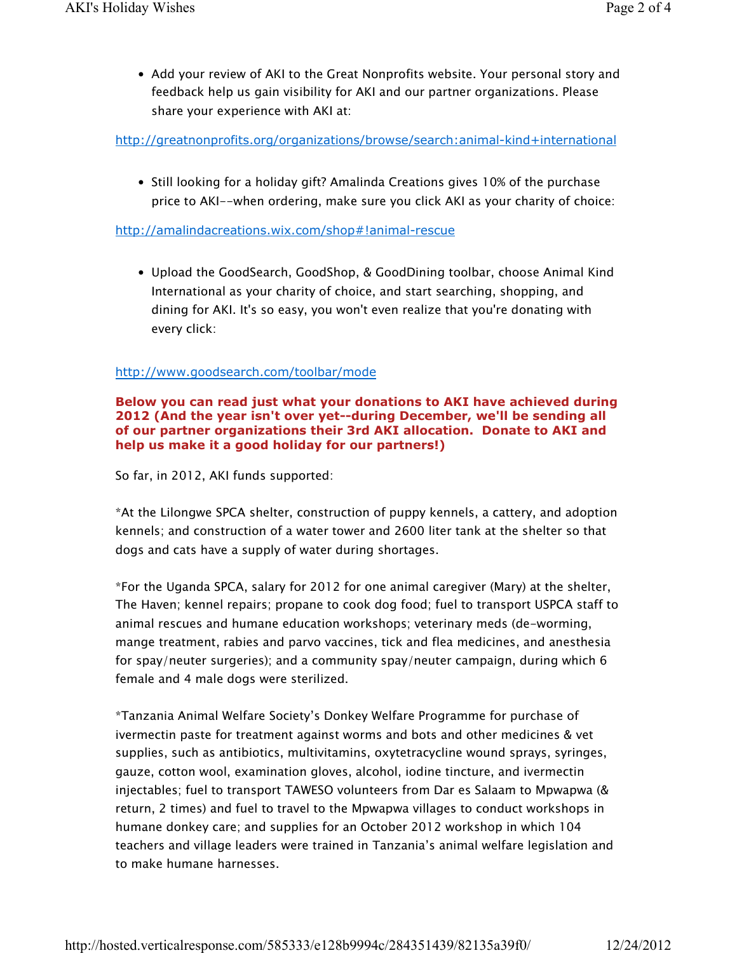• Add your review of AKI to the Great Nonprofits website. Your personal story and feedback help us gain visibility for AKI and our partner organizations. Please share your experience with AKI at:

http://greatnonprofits.org/organizations/browse/search:animal-kind+international

• Still looking for a holiday gift? Amalinda Creations gives 10% of the purchase price to AKI--when ordering, make sure you click AKI as your charity of choice:

http://amalindacreations.wix.com/shop#!animal-rescue

• Upload the GoodSearch, GoodShop, & GoodDining toolbar, choose Animal Kind International as your charity of choice, and start searching, shopping, and dining for AKI. It's so easy, you won't even realize that you're donating with every click:

## http://www.goodsearch.com/toolbar/mode

Below you can read just what your donations to AKI have achieved during 2012 (And the year isn't over yet--during December, we'll be sending all of our partner organizations their 3rd AKI allocation. Donate to AKI and help us make it a good holiday for our partners!)

So far, in 2012, AKI funds supported:

\*At the Lilongwe SPCA shelter, construction of puppy kennels, a cattery, and adoption kennels; and construction of a water tower and 2600 liter tank at the shelter so that dogs and cats have a supply of water during shortages.

\*For the Uganda SPCA, salary for 2012 for one animal caregiver (Mary) at the shelter, The Haven; kennel repairs; propane to cook dog food; fuel to transport USPCA staff to animal rescues and humane education workshops; veterinary meds (de-worming, mange treatment, rabies and parvo vaccines, tick and flea medicines, and anesthesia for spay/neuter surgeries); and a community spay/neuter campaign, during which 6 female and 4 male dogs were sterilized.

\*Tanzania Animal Welfare Society's Donkey Welfare Programme for purchase of ivermectin paste for treatment against worms and bots and other medicines & vet supplies, such as antibiotics, multivitamins, oxytetracycline wound sprays, syringes, gauze, cotton wool, examination gloves, alcohol, iodine tincture, and ivermectin injectables; fuel to transport TAWESO volunteers from Dar es Salaam to Mpwapwa (& return, 2 times) and fuel to travel to the Mpwapwa villages to conduct workshops in humane donkey care; and supplies for an October 2012 workshop in which 104 teachers and village leaders were trained in Tanzania's animal welfare legislation and to make humane harnesses.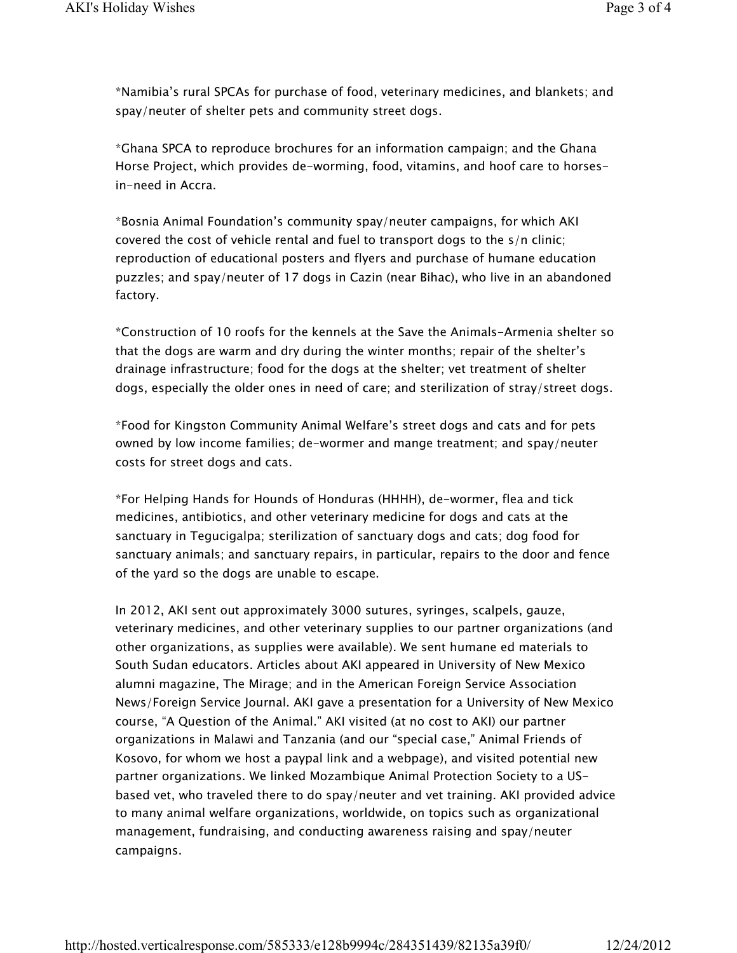\*Namibia's rural SPCAs for purchase of food, veterinary medicines, and blankets; and spay/neuter of shelter pets and community street dogs.

\*Ghana SPCA to reproduce brochures for an information campaign; and the Ghana Horse Project, which provides de-worming, food, vitamins, and hoof care to horsesin-need in Accra.

\*Bosnia Animal Foundation's community spay/neuter campaigns, for which AKI covered the cost of vehicle rental and fuel to transport dogs to the s/n clinic; reproduction of educational posters and flyers and purchase of humane education puzzles; and spay/neuter of 17 dogs in Cazin (near Bihac), who live in an abandoned factory.

\*Construction of 10 roofs for the kennels at the Save the Animals-Armenia shelter so that the dogs are warm and dry during the winter months; repair of the shelter's drainage infrastructure; food for the dogs at the shelter; vet treatment of shelter dogs, especially the older ones in need of care; and sterilization of stray/street dogs.

\*Food for Kingston Community Animal Welfare's street dogs and cats and for pets owned by low income families; de-wormer and mange treatment; and spay/neuter costs for street dogs and cats.

\*For Helping Hands for Hounds of Honduras (HHHH), de-wormer, flea and tick medicines, antibiotics, and other veterinary medicine for dogs and cats at the sanctuary in Tegucigalpa; sterilization of sanctuary dogs and cats; dog food for sanctuary animals; and sanctuary repairs, in particular, repairs to the door and fence of the yard so the dogs are unable to escape.

In 2012, AKI sent out approximately 3000 sutures, syringes, scalpels, gauze, veterinary medicines, and other veterinary supplies to our partner organizations (and other organizations, as supplies were available). We sent humane ed materials to South Sudan educators. Articles about AKI appeared in University of New Mexico alumni magazine, The Mirage; and in the American Foreign Service Association News/Foreign Service Journal. AKI gave a presentation for a University of New Mexico course, "A Question of the Animal." AKI visited (at no cost to AKI) our partner organizations in Malawi and Tanzania (and our "special case," Animal Friends of Kosovo, for whom we host a paypal link and a webpage), and visited potential new partner organizations. We linked Mozambique Animal Protection Society to a USbased vet, who traveled there to do spay/neuter and vet training. AKI provided advice to many animal welfare organizations, worldwide, on topics such as organizational management, fundraising, and conducting awareness raising and spay/neuter campaigns.